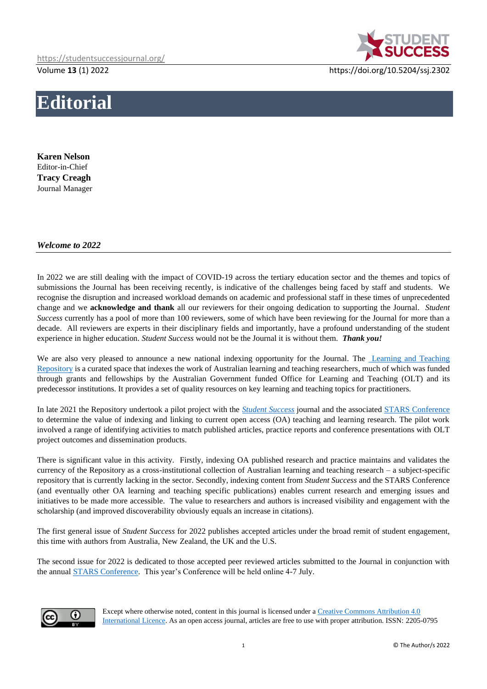

Volume **13** (1) 2022 https://doi.org/10.5204/ssj.2302

## **Editorial**

**Karen Nelson** Editor-in-Chief **Tracy Creagh** Journal Manager

## *Welcome to 2022*

In 2022 we are still dealing with the impact of COVID-19 across the tertiary education sector and the themes and topics of submissions the Journal has been receiving recently, is indicative of the challenges being faced by staff and students. We recognise the disruption and increased workload demands on academic and professional staff in these times of unprecedented change and we **acknowledge and thank** all our reviewers for their ongoing dedication to supporting the Journal. *Student Success* currently has a pool of more than 100 reviewers, some of which have been reviewing for the Journal for more than a decade. All reviewers are experts in their disciplinary fields and importantly, have a profound understanding of the student experience in higher education. *Student Success* would not be the Journal it is without them. *Thank you!*

We are also very pleased to announce a new national indexing opportunity for the Journal. The Learning and Teaching [Repository](https://ltr.edu.au/) is a curated space that indexes the work of Australian learning and teaching researchers, much of which was funded through grants and fellowships by the Australian Government funded Office for Learning and Teaching (OLT) and its predecessor institutions. It provides a set of quality resources on key learning and teaching topics for practitioners.

In late 2021 the Repository undertook a pilot project with the *[Student Success](https://studentsuccessjournal.org/)* journal and the associated [STARS Conference](https://unistars.org/) to determine the value of indexing and linking to current open access (OA) teaching and learning research. The pilot work involved a range of identifying activities to match published articles, practice reports and conference presentations with OLT project outcomes and dissemination products.

There is significant value in this activity. Firstly, indexing OA published research and practice maintains and validates the currency of the Repository as a cross-institutional collection of Australian learning and teaching research – a subject-specific repository that is currently lacking in the sector. Secondly, indexing content from *Student Success* and the STARS Conference (and eventually other OA learning and teaching specific publications) enables current research and emerging issues and initiatives to be made more accessible. The value to researchers and authors is increased visibility and engagement with the scholarship (and improved discoverability obviously equals an increase in citations).

The first general issue of *Student Success* for 2022 publishes accepted articles under the broad remit of student engagement, this time with authors from Australia, New Zealand, the UK and the U.S.

The second issue for 2022 is dedicated to those accepted peer reviewed articles submitted to the Journal in conjunction with the annual [STARS Conference.](https://unistars.org/) This year's Conference will be held online 4-7 July.



Except where otherwise noted, content in this journal is licensed under [a Creative Commons Attribution 4.0](https://creativecommons.org/licenses/by/4.0/)  [International Licence.](https://creativecommons.org/licenses/by/4.0/) As an open access journal, articles are free to use with proper attribution. ISSN: 2205-0795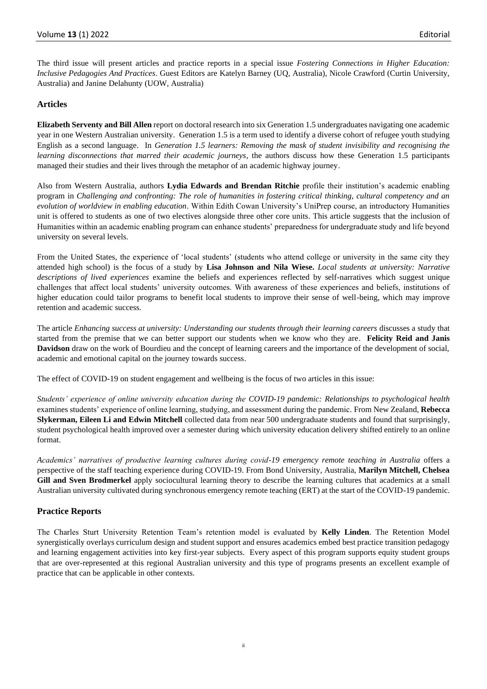The third issue will present articles and practice reports in a special issue *Fostering Connections in Higher Education: Inclusive Pedagogies And Practices*. Guest Editors are Katelyn Barney (UQ, Australia), Nicole Crawford (Curtin University, Australia) and Janine Delahunty (UOW, Australia)

## **Articles**

**Elizabeth Serventy and Bill Allen** report on doctoral research into six Generation 1.5 undergraduates navigating one academic year in one Western Australian university. Generation 1.5 is a term used to identify a diverse cohort of refugee youth studying English as a second language. In *Generation 1.5 learners: Removing the mask of student invisibility and recognising the learning disconnections that marred their academic journeys*, the authors discuss how these Generation 1.5 participants managed their studies and their lives through the metaphor of an academic highway journey.

Also from Western Australia, authors **Lydia Edwards and Brendan Ritchie** profile their institution's academic enabling program in *Challenging and confronting: The role of humanities in fostering critical thinking, cultural competency and an evolution of worldview in enabling education*. Within Edith Cowan University's UniPrep course, an introductory Humanities unit is offered to students as one of two electives alongside three other core units. This article suggests that the inclusion of Humanities within an academic enabling program can enhance students' preparedness for undergraduate study and life beyond university on several levels.

From the United States, the experience of 'local students' (students who attend college or university in the same city they attended high school) is the focus of a study by **Lisa Johnson and Nila Wiese.** *Local students at university: Narrative descriptions of lived experiences* examine the beliefs and experiences reflected by self-narratives which suggest unique challenges that affect local students' university outcomes. With awareness of these experiences and beliefs, institutions of higher education could tailor programs to benefit local students to improve their sense of well-being, which may improve retention and academic success.

The article *Enhancing success at university: Understanding our students through their learning careers* discusses a study that started from the premise that we can better support our students when we know who they are. **Felicity Reid and Janis Davidson** draw on the work of Bourdieu and the concept of learning careers and the importance of the development of social, academic and emotional capital on the journey towards success.

The effect of COVID-19 on student engagement and wellbeing is the focus of two articles in this issue:

*Students' experience of online university education during the COVID-19 pandemic: Relationships to psychological health* examines students' experience of online learning, studying, and assessment during the pandemic*.* From New Zealand, **Rebecca Slykerman, Eileen Li and Edwin Mitchell** collected data from near 500 undergraduate students and found that surprisingly, student psychological health improved over a semester during which university education delivery shifted entirely to an online format.

*Academics' narratives of productive learning cultures during covid-19 emergency remote teaching in Australia* offers a perspective of the staff teaching experience during COVID-19. From Bond University, Australia, **Marilyn Mitchell, Chelsea Gill and Sven Brodmerkel** apply sociocultural learning theory to describe the learning cultures that academics at a small Australian university cultivated during synchronous emergency remote teaching (ERT) at the start of the COVID-19 pandemic.

## **Practice Reports**

The Charles Sturt University Retention Team's retention model is evaluated by **Kelly Linden**. The Retention Model synergistically overlays curriculum design and student support and ensures academics embed best practice transition pedagogy and learning engagement activities into key first-year subjects. Every aspect of this program supports equity student groups that are over-represented at this regional Australian university and this type of programs presents an excellent example of practice that can be applicable in other contexts.